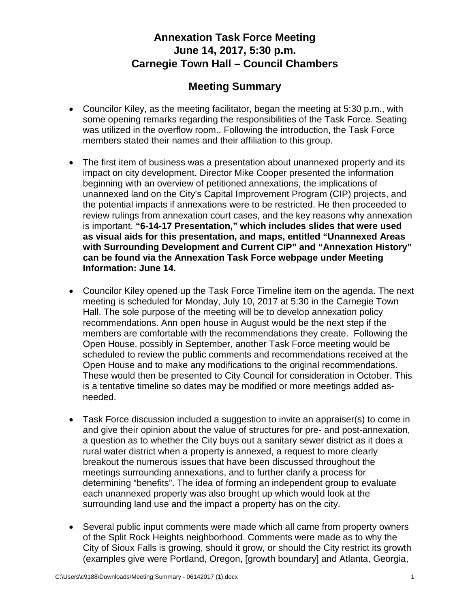## **Annexation Task Force Meeting June 14, 2017, 5:30 p.m. Carnegie Town Hall – Council Chambers**

## **Meeting Summary**

- Councilor Kiley, as the meeting facilitator, began the meeting at 5:30 p.m., with some opening remarks regarding the responsibilities of the Task Force. Seating was utilized in the overflow room.. Following the introduction, the Task Force members stated their names and their affiliation to this group.
- The first item of business was a presentation about unannexed property and its impact on city development. Director Mike Cooper presented the information beginning with an overview of petitioned annexations, the implications of unannexed land on the City's Capital Improvement Program (CIP) projects, and the potential impacts if annexations were to be restricted. He then proceeded to review rulings from annexation court cases, and the key reasons why annexation is important. **"6-14-17 Presentation," which includes slides that were used as visual aids for this presentation, and maps, entitled ["Unannexed Areas](http://www.siouxfalls.org/planning-building/planning/annexation-task-force/meeting4/unannexed-surrounding-dev-cip)  [with Surrounding Development and Current CIP"](http://www.siouxfalls.org/planning-building/planning/annexation-task-force/meeting4/unannexed-surrounding-dev-cip) and "Annexation History" can be found via the Annexation Task Force webpage under Meeting Information: June 14.**
- Councilor Kiley opened up the Task Force Timeline item on the agenda. The next meeting is scheduled for Monday, July 10, 2017 at 5:30 in the Carnegie Town Hall. The sole purpose of the meeting will be to develop annexation policy recommendations. Ann open house in August would be the next step if the members are comfortable with the recommendations they create. Following the Open House, possibly in September, another Task Force meeting would be scheduled to review the public comments and recommendations received at the Open House and to make any modifications to the original recommendations. These would then be presented to City Council for consideration in October. This is a tentative timeline so dates may be modified or more meetings added asneeded.
- Task Force discussion included a suggestion to invite an appraiser(s) to come in and give their opinion about the value of structures for pre- and post-annexation, a question as to whether the City buys out a sanitary sewer district as it does a rural water district when a property is annexed, a request to more clearly breakout the numerous issues that have been discussed throughout the meetings surrounding annexations, and to further clarify a process for determining "benefits". The idea of forming an independent group to evaluate each unannexed property was also brought up which would look at the surrounding land use and the impact a property has on the city.
- Several public input comments were made which all came from property owners of the Split Rock Heights neighborhood. Comments were made as to why the City of Sioux Falls is growing, should it grow, or should the City restrict its growth (examples give were Portland, Oregon, [growth boundary] and Atlanta, Georgia,